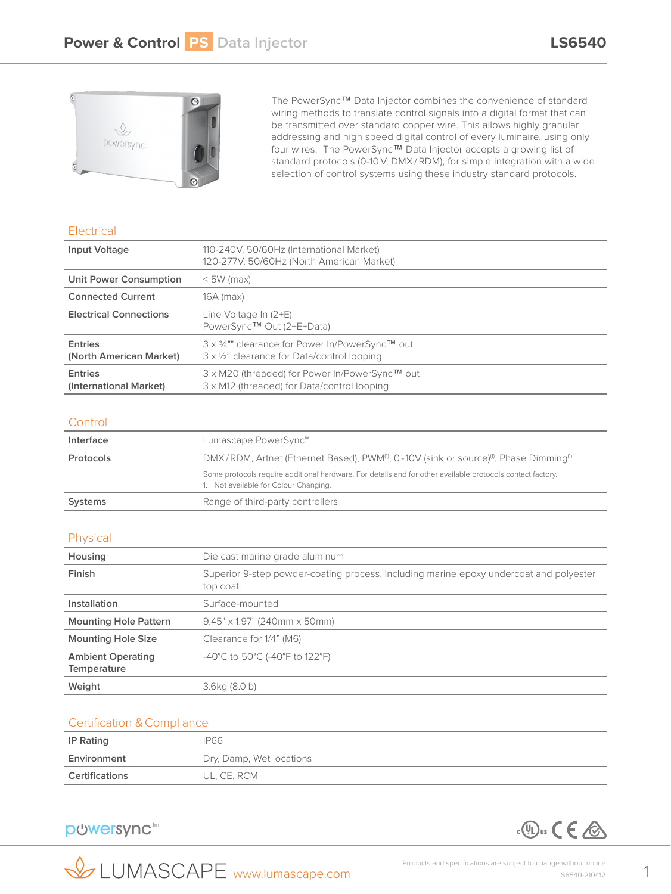

The PowerSync™ Data Injector combines the convenience of standard wiring methods to translate control signals into a digital format that can be transmitted over standard copper wire. This allows highly granular addressing and high speed digital control of every luminaire, using only four wires. The PowerSync™ Data Injector accepts a growing list of standard protocols (0-10V, DMX/RDM), for simple integration with a wide selection of control systems using these industry standard protocols.

## **Electrical**

| Input Voltage                             | 110-240V, 50/60Hz (International Market)<br>120-277V, 50/60Hz (North American Market)          |  |
|-------------------------------------------|------------------------------------------------------------------------------------------------|--|
| Unit Power Consumption                    | $<$ 5W (max)                                                                                   |  |
| <b>Connected Current</b>                  | 16A (max)                                                                                      |  |
| <b>Electrical Connections</b>             | Line Voltage In (2+E)<br>PowerSync™ Out (2+E+Data)                                             |  |
| <b>Entries</b><br>(North American Market) | 3 x 3/4"" clearance for Power In/PowerSync™ out<br>3 x 1/2" clearance for Data/control looping |  |
| <b>Entries</b><br>(International Market)  | 3 x M20 (threaded) for Power In/PowerSync™ out<br>3 x M12 (threaded) for Data/control looping  |  |

## **Control**

| Interface                                                                                                                               | Lumascape PowerSync™                                                                                                                                |  |
|-----------------------------------------------------------------------------------------------------------------------------------------|-----------------------------------------------------------------------------------------------------------------------------------------------------|--|
| DMX/RDM, Artnet (Ethernet Based), PWM <sup>(0</sup> , 0-10V (sink or source) <sup>(0</sup> , Phase Dimming <sup>(0</sup> )<br>Protocols |                                                                                                                                                     |  |
|                                                                                                                                         | Some protocols require additional hardware. For details and for other available protocols contact factory.<br>1. Not available for Colour Changing. |  |
| <b>Systems</b>                                                                                                                          | Range of third-party controllers                                                                                                                    |  |

## Physical

| Housing                                        | Die cast marine grade aluminum                                                                      |  |
|------------------------------------------------|-----------------------------------------------------------------------------------------------------|--|
| Finish                                         | Superior 9-step powder-coating process, including marine epoxy undercoat and polyester<br>top coat. |  |
| Installation                                   | Surface-mounted                                                                                     |  |
| <b>Mounting Hole Pattern</b>                   | $9.45" \times 1.97"$ (240mm $\times$ 50mm)                                                          |  |
| <b>Mounting Hole Size</b>                      | Clearance for 1/4" (M6)                                                                             |  |
| <b>Ambient Operating</b><br><b>Temperature</b> | -40°C to 50°C (-40°F to 122°F)                                                                      |  |
| Weight                                         | 3.6kg (8.0lb)                                                                                       |  |

## Certification &Compliance

| IP Rating      | <b>IP66</b>              |
|----------------|--------------------------|
| Environment    | Dry, Damp, Wet locations |
| Certifications | UL, CE, RCM              |

#### puwersync<sup>thm</sup> p wersync<sup>tm</sup>



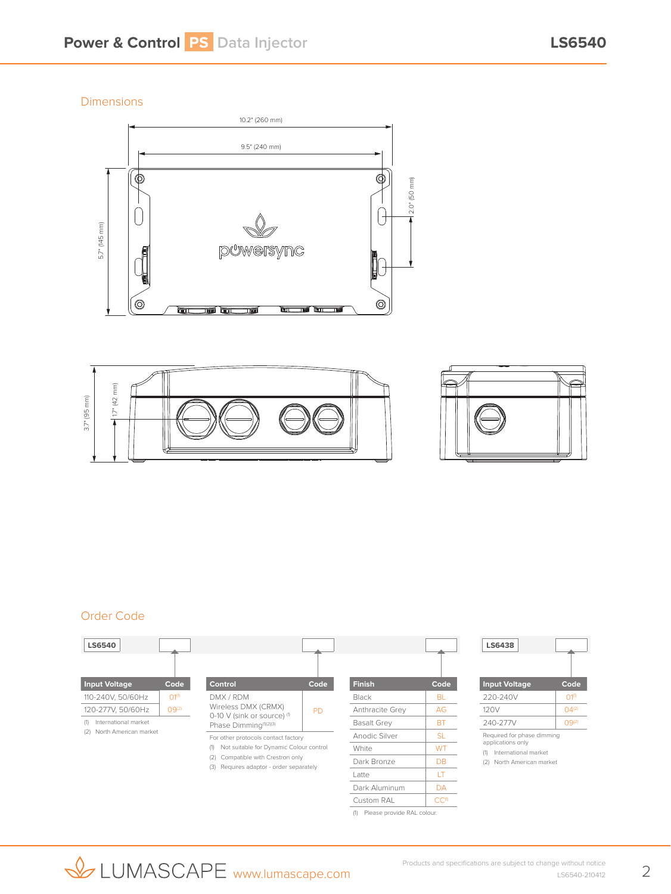Dimensions







## Order Code



| LS6438                     |            |
|----------------------------|------------|
| <b>Input Voltage</b>       | Code       |
| 220-240V                   | 010        |
| 120V                       | $(14^{2})$ |
| 240-277V                   |            |
| Required for phase dimming |            |

applications only (1) International market

(2) North American market

Custom RAL CC<sup>(1)</sup> (1) Please provide RAL colour.

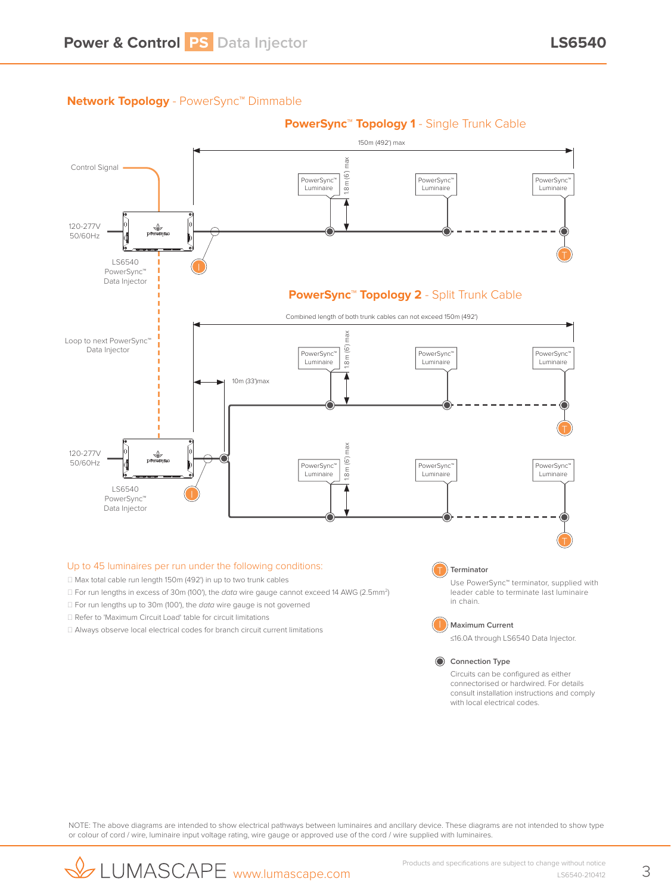## **Network Topology** - PowerSync™ Dimmable



#### Up to 45 luminaires per run under the following conditions:

- □ Max total cable run length 150m (492') in up to two trunk cables
- □ For run lengths in excess of 30m (100'), the *data* wire gauge cannot exceed 14 AWG (2.5mm<sup>2</sup>)
- □ For run lengths up to 30m (100'), the *data* wire gauge is not governed
- □ Refer to 'Maximum Circuit Load' table for circuit limitations
- $\Box$  Always observe local electrical codes for branch circuit current limitations

#### **Terminator** T

Use PowerSync™ terminator, supplied with leader cable to terminate last luminaire in chain.



**Maximum Current**

≤16.0A through LS6540 Data Injector.

### **Connection Type**

Circuits can be configured as either connectorised or hardwired. For details consult installation instructions and comply with local electrical codes

NOTE: The above diagrams are intended to show electrical pathways between luminaires and ancillary device. These diagrams are not intended to show type or colour of cord / wire, luminaire input voltage rating, wire gauge or approved use of the cord / wire supplied with luminaires.